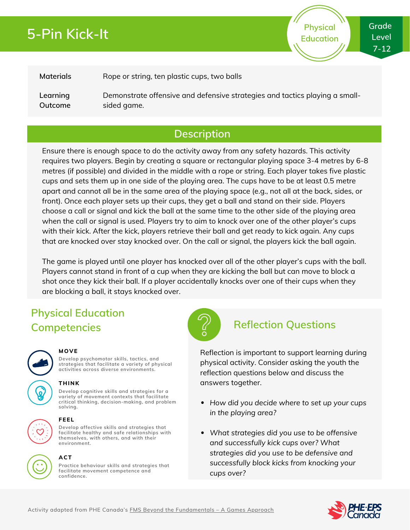# **5-Pin Kick-It**

**Grade Level 7-12**

**Physical Education**

### **Materials**

Rope or string, ten plastic cups, two balls

**Learning Outcome** Demonstrate offensive and defensive strategies and tactics playing a smallsided game.

## **Description**

Ensure there is enough space to do the activity away from any safety hazards. This activity requires two players. Begin by creating a square or rectangular playing space 3-4 metres by 6-8 metres (if possible) and divided in the middle with a rope or string. Each player takes five plastic cups and sets them up in one side of the playing area. The cups have to be at least 0.5 metre apart and cannot all be in the same area of the playing space (e.g., not all at the back, sides, or front). Once each player sets up their cups, they get a ball and stand on their side. Players choose a call or signal and kick the ball at the same time to the other side of the playing area when the call or signal is used. Players try to aim to knock over one of the other player's cups with their kick. After the kick, players retrieve their ball and get ready to kick again. Any cups that are knocked over stay knocked over. On the call or signal, the players kick the ball again.

The game is played until one player has knocked over all of the other player's cups with the ball. Players cannot stand in front of a cup when they are kicking the ball but can move to block a shot once they kick their ball. If a player accidentally knocks over one of their cups when they are blocking a ball, it stays knocked over.

## **Physical Education Competencies Reflection Questions**



### **MOVE**

**Develop psychomotor skills, tactics, and strategies that facilitate a variety of physical activities across diverse environments.**

### **THINK**

**Develop cognitive skills and strategies for a variety of movement contexts that facilitate critical thinking, decision-making, and problem solving.**

### **FEEL**

**Develop affective skills and strategies that facilitate healthy and safe relationships with themselves, with others, and with their environment.**



## **ACT**

**Practice behaviour skills and strategies that facilitate movement competence and confidence.**



Reflection is important to support learning during physical activity. Consider asking the youth the reflection questions below and discuss the answers together.

- *How did you decide where to set up your cups in the playing area?*
- *What strategies did you use to be offensive and successfully kick cups over? What strategies did you use to be defensive and successfully block kicks from knocking your cups over?*